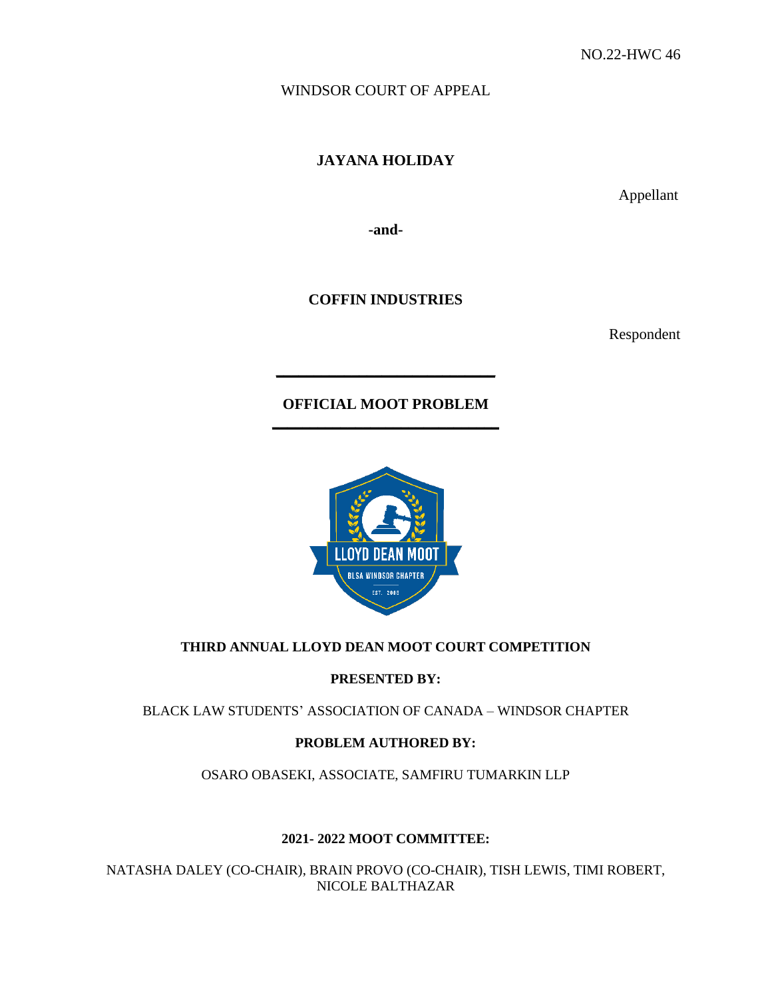WINDSOR COURT OF APPEAL

**JAYANA HOLIDAY** 

Appellant

**-and-**

**COFFIN INDUSTRIES**

Respondent

**OFFICIAL MOOT PROBLEM \_\_\_\_\_\_\_\_\_\_\_\_\_\_\_\_\_\_\_\_\_\_\_\_\_\_\_\_\_\_**

**\_\_\_\_\_\_\_\_\_\_\_\_\_\_\_\_\_\_\_\_\_\_\_\_\_\_\_\_\_**



# **THIRD ANNUAL LLOYD DEAN MOOT COURT COMPETITION**

**PRESENTED BY:** 

BLACK LAW STUDENTS' ASSOCIATION OF CANADA – WINDSOR CHAPTER

# **PROBLEM AUTHORED BY:**

OSARO OBASEKI, ASSOCIATE, SAMFIRU TUMARKIN LLP

# **2021- 2022 MOOT COMMITTEE:**

NATASHA DALEY (CO-CHAIR), BRAIN PROVO (CO-CHAIR), TISH LEWIS, TIMI ROBERT, NICOLE BALTHAZAR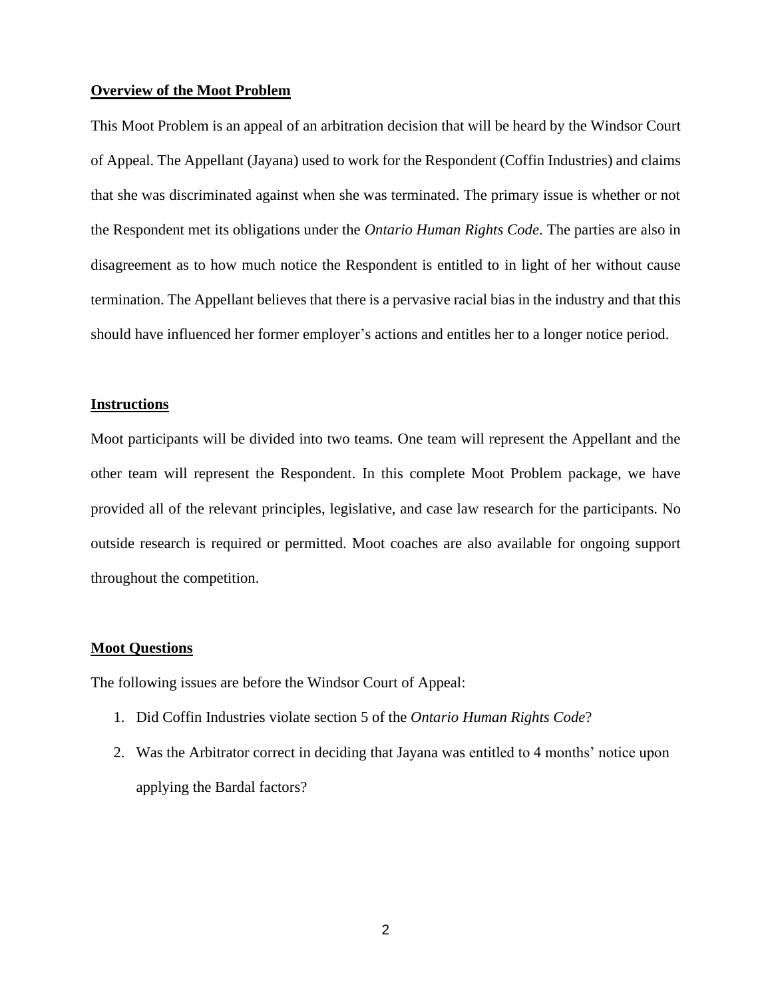#### **Overview of the Moot Problem**

This Moot Problem is an appeal of an arbitration decision that will be heard by the Windsor Court of Appeal. The Appellant (Jayana) used to work for the Respondent (Coffin Industries) and claims that she was discriminated against when she was terminated. The primary issue is whether or not the Respondent met its obligations under the *Ontario Human Rights Code*. The parties are also in disagreement as to how much notice the Respondent is entitled to in light of her without cause termination. The Appellant believes that there is a pervasive racial bias in the industry and that this should have influenced her former employer's actions and entitles her to a longer notice period.

# **Instructions**

Moot participants will be divided into two teams. One team will represent the Appellant and the other team will represent the Respondent. In this complete Moot Problem package, we have provided all of the relevant principles, legislative, and case law research for the participants. No outside research is required or permitted. Moot coaches are also available for ongoing support throughout the competition.

### **Moot Questions**

The following issues are before the Windsor Court of Appeal:

- 1. Did Coffin Industries violate section 5 of the *Ontario Human Rights Code*?
- 2. Was the Arbitrator correct in deciding that Jayana was entitled to 4 months' notice upon applying the Bardal factors?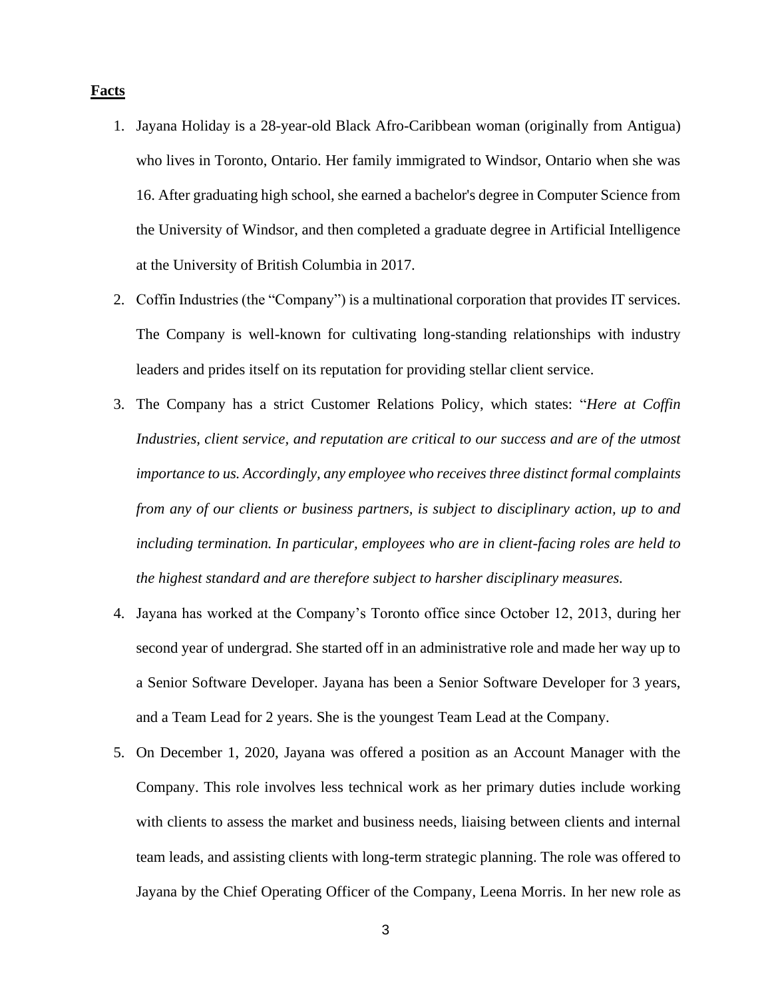## **Facts**

- 1. Jayana Holiday is a 28-year-old Black Afro-Caribbean woman (originally from Antigua) who lives in Toronto, Ontario. Her family immigrated to Windsor, Ontario when she was 16. After graduating high school, she earned a bachelor's degree in Computer Science from the University of Windsor, and then completed a graduate degree in Artificial Intelligence at the University of British Columbia in 2017.
- 2. Coffin Industries (the "Company") is a multinational corporation that provides IT services. The Company is well-known for cultivating long-standing relationships with industry leaders and prides itself on its reputation for providing stellar client service.
- 3. The Company has a strict Customer Relations Policy, which states: "*Here at Coffin Industries, client service, and reputation are critical to our success and are of the utmost importance to us. Accordingly, any employee who receives three distinct formal complaints from any of our clients or business partners, is subject to disciplinary action, up to and including termination. In particular, employees who are in client-facing roles are held to the highest standard and are therefore subject to harsher disciplinary measures.*
- 4. Jayana has worked at the Company's Toronto office since October 12, 2013, during her second year of undergrad. She started off in an administrative role and made her way up to a Senior Software Developer. Jayana has been a Senior Software Developer for 3 years, and a Team Lead for 2 years. She is the youngest Team Lead at the Company.
- 5. On December 1, 2020, Jayana was offered a position as an Account Manager with the Company. This role involves less technical work as her primary duties include working with clients to assess the market and business needs, liaising between clients and internal team leads, and assisting clients with long-term strategic planning. The role was offered to Jayana by the Chief Operating Officer of the Company, Leena Morris. In her new role as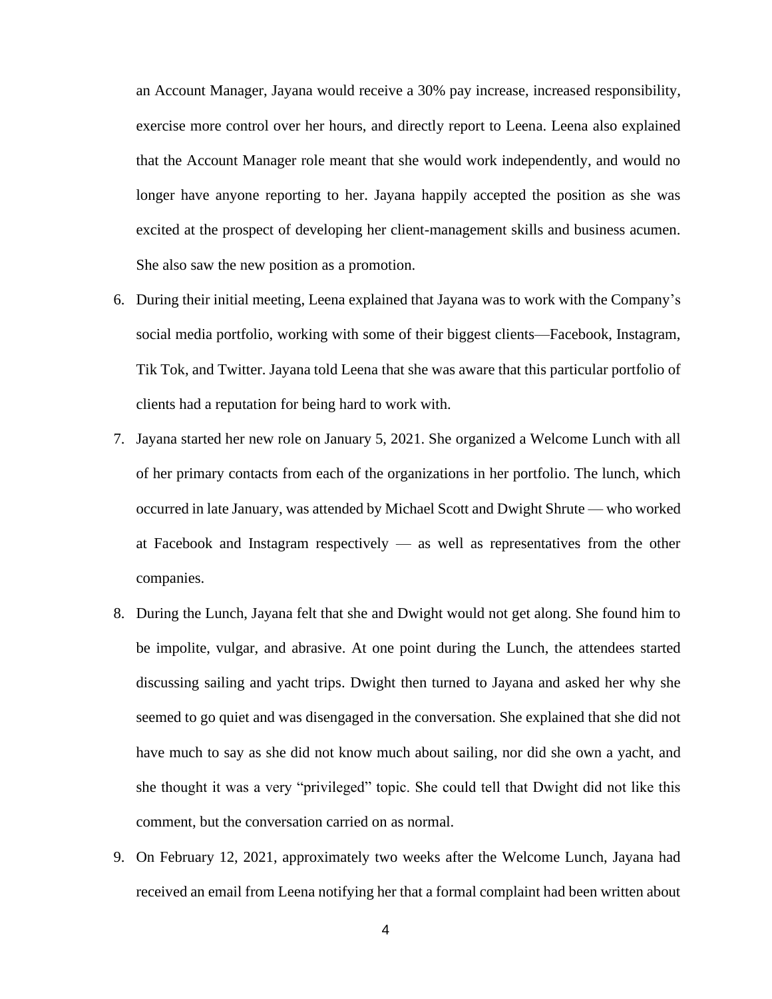an Account Manager, Jayana would receive a 30% pay increase, increased responsibility, exercise more control over her hours, and directly report to Leena. Leena also explained that the Account Manager role meant that she would work independently, and would no longer have anyone reporting to her. Jayana happily accepted the position as she was excited at the prospect of developing her client-management skills and business acumen. She also saw the new position as a promotion.

- 6. During their initial meeting, Leena explained that Jayana was to work with the Company's social media portfolio, working with some of their biggest clients—Facebook, Instagram, Tik Tok, and Twitter. Jayana told Leena that she was aware that this particular portfolio of clients had a reputation for being hard to work with.
- 7. Jayana started her new role on January 5, 2021. She organized a Welcome Lunch with all of her primary contacts from each of the organizations in her portfolio. The lunch, which occurred in late January, was attended by Michael Scott and Dwight Shrute — who worked at Facebook and Instagram respectively — as well as representatives from the other companies.
- 8. During the Lunch, Jayana felt that she and Dwight would not get along. She found him to be impolite, vulgar, and abrasive. At one point during the Lunch, the attendees started discussing sailing and yacht trips. Dwight then turned to Jayana and asked her why she seemed to go quiet and was disengaged in the conversation. She explained that she did not have much to say as she did not know much about sailing, nor did she own a yacht, and she thought it was a very "privileged" topic. She could tell that Dwight did not like this comment, but the conversation carried on as normal.
- 9. On February 12, 2021, approximately two weeks after the Welcome Lunch, Jayana had received an email from Leena notifying her that a formal complaint had been written about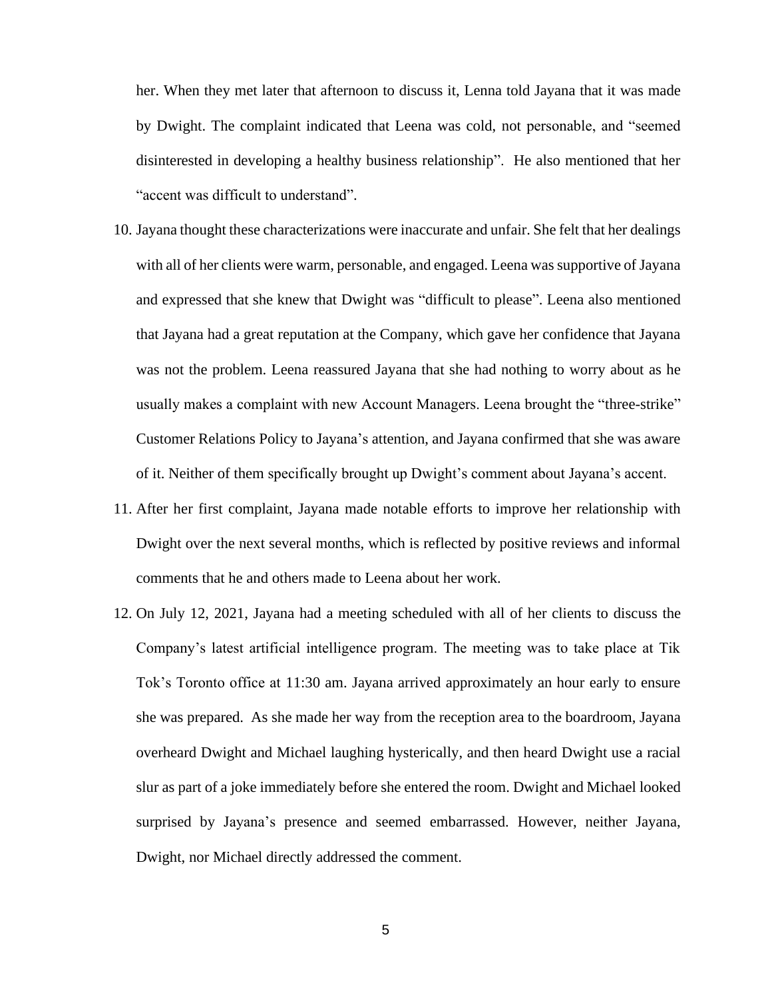her. When they met later that afternoon to discuss it, Lenna told Jayana that it was made by Dwight. The complaint indicated that Leena was cold, not personable, and "seemed disinterested in developing a healthy business relationship". He also mentioned that her "accent was difficult to understand".

- 10. Jayana thought these characterizations were inaccurate and unfair. She felt that her dealings with all of her clients were warm, personable, and engaged. Leena was supportive of Jayana and expressed that she knew that Dwight was "difficult to please". Leena also mentioned that Jayana had a great reputation at the Company, which gave her confidence that Jayana was not the problem. Leena reassured Jayana that she had nothing to worry about as he usually makes a complaint with new Account Managers. Leena brought the "three-strike" Customer Relations Policy to Jayana's attention, and Jayana confirmed that she was aware of it. Neither of them specifically brought up Dwight's comment about Jayana's accent.
- 11. After her first complaint, Jayana made notable efforts to improve her relationship with Dwight over the next several months, which is reflected by positive reviews and informal comments that he and others made to Leena about her work.
- 12. On July 12, 2021, Jayana had a meeting scheduled with all of her clients to discuss the Company's latest artificial intelligence program. The meeting was to take place at Tik Tok's Toronto office at 11:30 am. Jayana arrived approximately an hour early to ensure she was prepared. As she made her way from the reception area to the boardroom, Jayana overheard Dwight and Michael laughing hysterically, and then heard Dwight use a racial slur as part of a joke immediately before she entered the room. Dwight and Michael looked surprised by Jayana's presence and seemed embarrassed. However, neither Jayana, Dwight, nor Michael directly addressed the comment.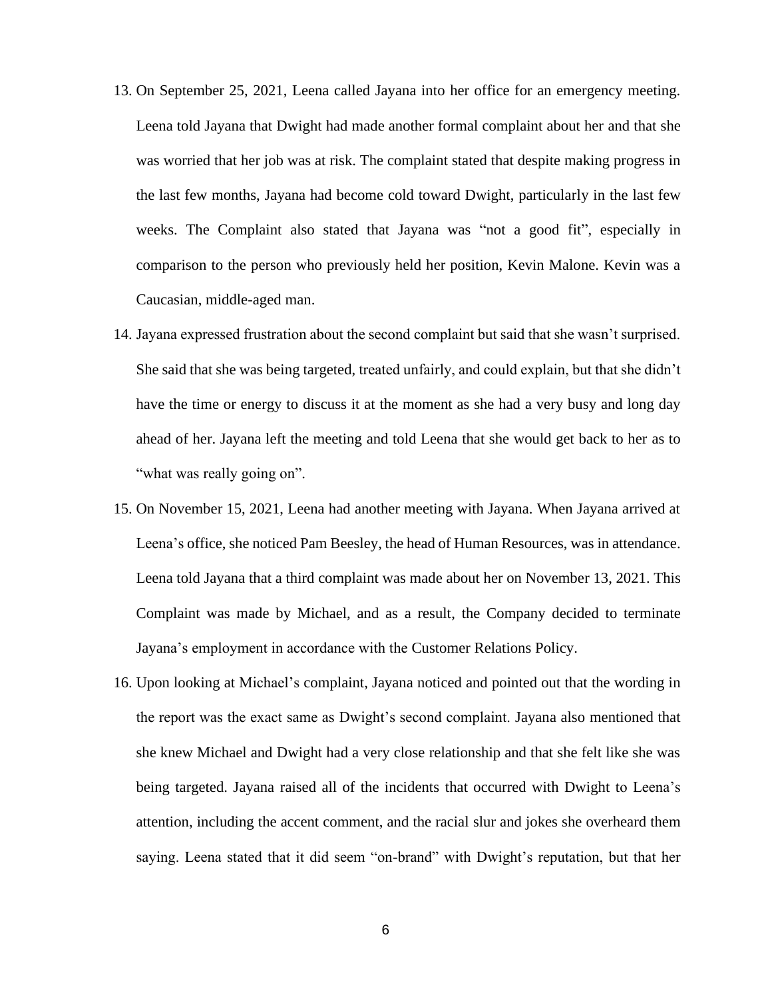- 13. On September 25, 2021, Leena called Jayana into her office for an emergency meeting. Leena told Jayana that Dwight had made another formal complaint about her and that she was worried that her job was at risk. The complaint stated that despite making progress in the last few months, Jayana had become cold toward Dwight, particularly in the last few weeks. The Complaint also stated that Jayana was "not a good fit", especially in comparison to the person who previously held her position, Kevin Malone. Kevin was a Caucasian, middle-aged man.
- 14. Jayana expressed frustration about the second complaint but said that she wasn't surprised. She said that she was being targeted, treated unfairly, and could explain, but that she didn't have the time or energy to discuss it at the moment as she had a very busy and long day ahead of her. Jayana left the meeting and told Leena that she would get back to her as to "what was really going on".
- 15. On November 15, 2021, Leena had another meeting with Jayana. When Jayana arrived at Leena's office, she noticed Pam Beesley, the head of Human Resources, was in attendance. Leena told Jayana that a third complaint was made about her on November 13, 2021. This Complaint was made by Michael, and as a result, the Company decided to terminate Jayana's employment in accordance with the Customer Relations Policy.
- 16. Upon looking at Michael's complaint, Jayana noticed and pointed out that the wording in the report was the exact same as Dwight's second complaint. Jayana also mentioned that she knew Michael and Dwight had a very close relationship and that she felt like she was being targeted. Jayana raised all of the incidents that occurred with Dwight to Leena's attention, including the accent comment, and the racial slur and jokes she overheard them saying. Leena stated that it did seem "on-brand" with Dwight's reputation, but that her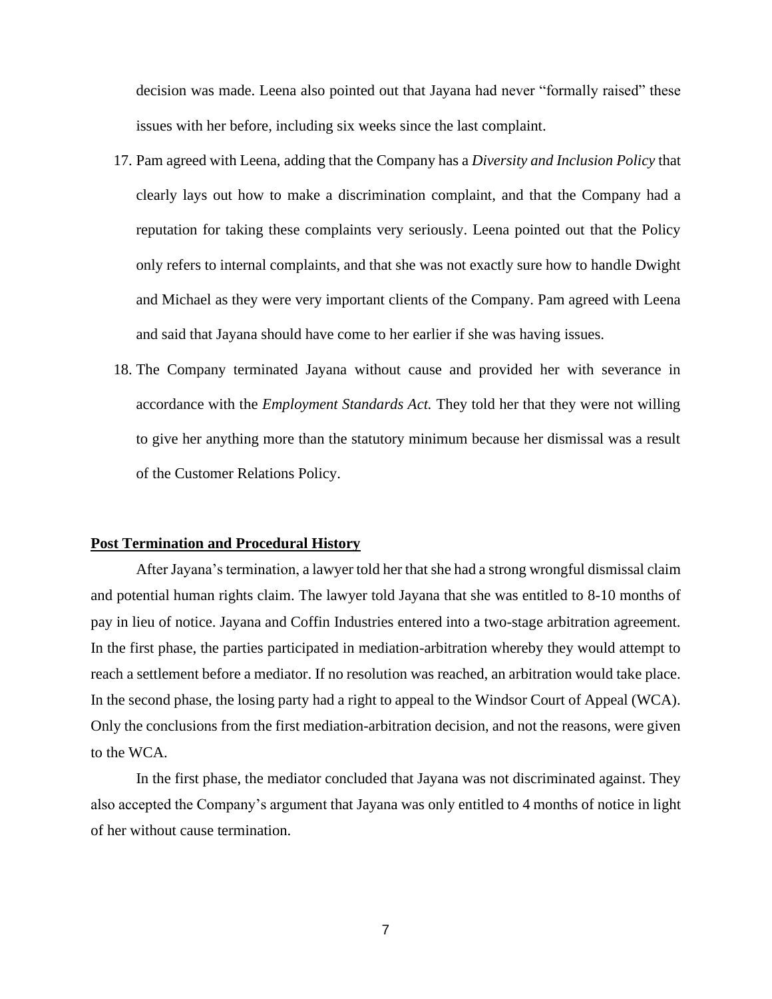decision was made. Leena also pointed out that Jayana had never "formally raised" these issues with her before, including six weeks since the last complaint.

- 17. Pam agreed with Leena, adding that the Company has a *Diversity and Inclusion Policy* that clearly lays out how to make a discrimination complaint, and that the Company had a reputation for taking these complaints very seriously. Leena pointed out that the Policy only refers to internal complaints, and that she was not exactly sure how to handle Dwight and Michael as they were very important clients of the Company. Pam agreed with Leena and said that Jayana should have come to her earlier if she was having issues.
- 18. The Company terminated Jayana without cause and provided her with severance in accordance with the *Employment Standards Act.* They told her that they were not willing to give her anything more than the statutory minimum because her dismissal was a result of the Customer Relations Policy.

## **Post Termination and Procedural History**

After Jayana's termination, a lawyer told her that she had a strong wrongful dismissal claim and potential human rights claim. The lawyer told Jayana that she was entitled to 8-10 months of pay in lieu of notice. Jayana and Coffin Industries entered into a two-stage arbitration agreement. In the first phase, the parties participated in mediation-arbitration whereby they would attempt to reach a settlement before a mediator. If no resolution was reached, an arbitration would take place. In the second phase, the losing party had a right to appeal to the Windsor Court of Appeal (WCA). Only the conclusions from the first mediation-arbitration decision, and not the reasons, were given to the WCA.

In the first phase, the mediator concluded that Jayana was not discriminated against. They also accepted the Company's argument that Jayana was only entitled to 4 months of notice in light of her without cause termination.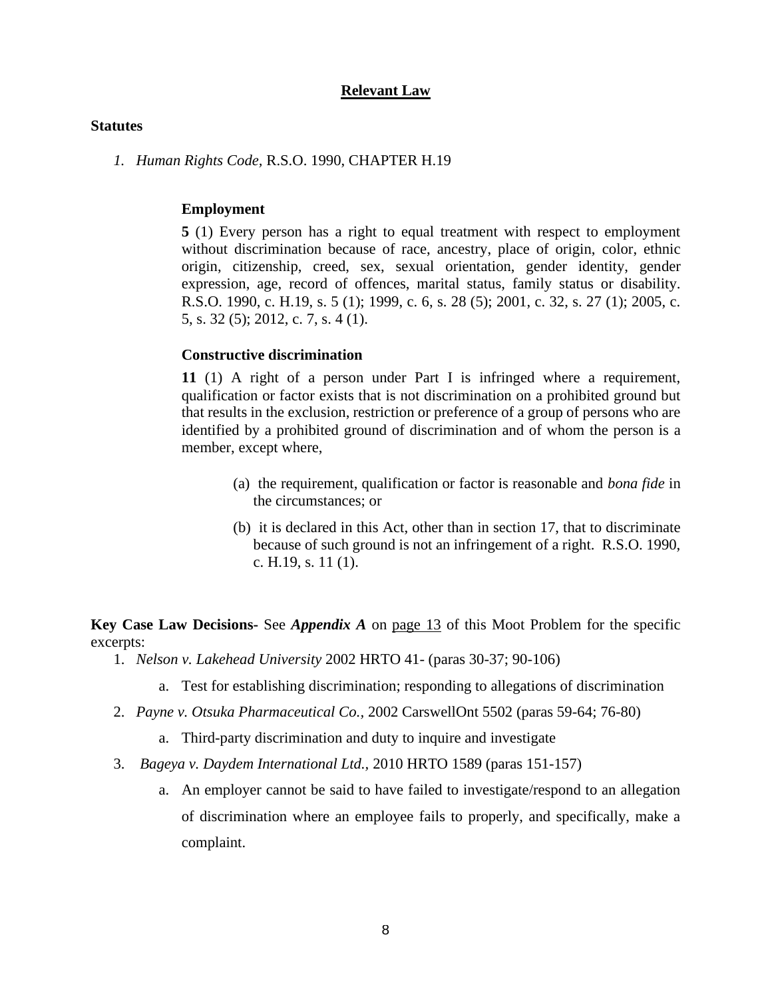## **Relevant Law**

#### **Statutes**

*1. Human Rights Code,* R.S.O. 1990, CHAPTER H.19

#### **Employment**

**5** (1) Every person has a right to equal treatment with respect to employment without discrimination because of race, ancestry, place of origin, color, ethnic origin, citizenship, creed, sex, sexual orientation, gender identity, gender expression, age, record of offences, marital status, family status or disability. R.S.O. 1990, c. H.19, s. 5 (1); 1999, c. 6, s. 28 (5); 2001, c. 32, s. 27 (1); 2005, c. 5, s. 32 (5); 2012, c. 7, s. 4 (1).

### **Constructive discrimination**

**11** (1) A right of a person under Part I is infringed where a requirement, qualification or factor exists that is not discrimination on a prohibited ground but that results in the exclusion, restriction or preference of a group of persons who are identified by a prohibited ground of discrimination and of whom the person is a member, except where,

- (a) the requirement, qualification or factor is reasonable and *bona fide* in the circumstances; or
- (b) it is declared in this Act, other than in section 17, that to discriminate because of such ground is not an infringement of a right. R.S.O. 1990, c. H.19, s. 11 (1).

**Key Case Law Decisions-** See *Appendix A* on page 13 of this Moot Problem for the specific excerpts:

- 1. *Nelson v. Lakehead University* 2002 HRTO 41*-* (paras 30-37; 90-106)
	- a. Test for establishing discrimination; responding to allegations of discrimination
- 2. *Payne v. Otsuka Pharmaceutical Co.,* 2002 CarswellOnt 5502 (paras 59-64; 76-80)
	- a. Third-party discrimination and duty to inquire and investigate
- 3. *Bageya v. Daydem International Ltd.,* 2010 HRTO 1589 (paras 151-157)
	- a. An employer cannot be said to have failed to investigate/respond to an allegation of discrimination where an employee fails to properly, and specifically, make a complaint.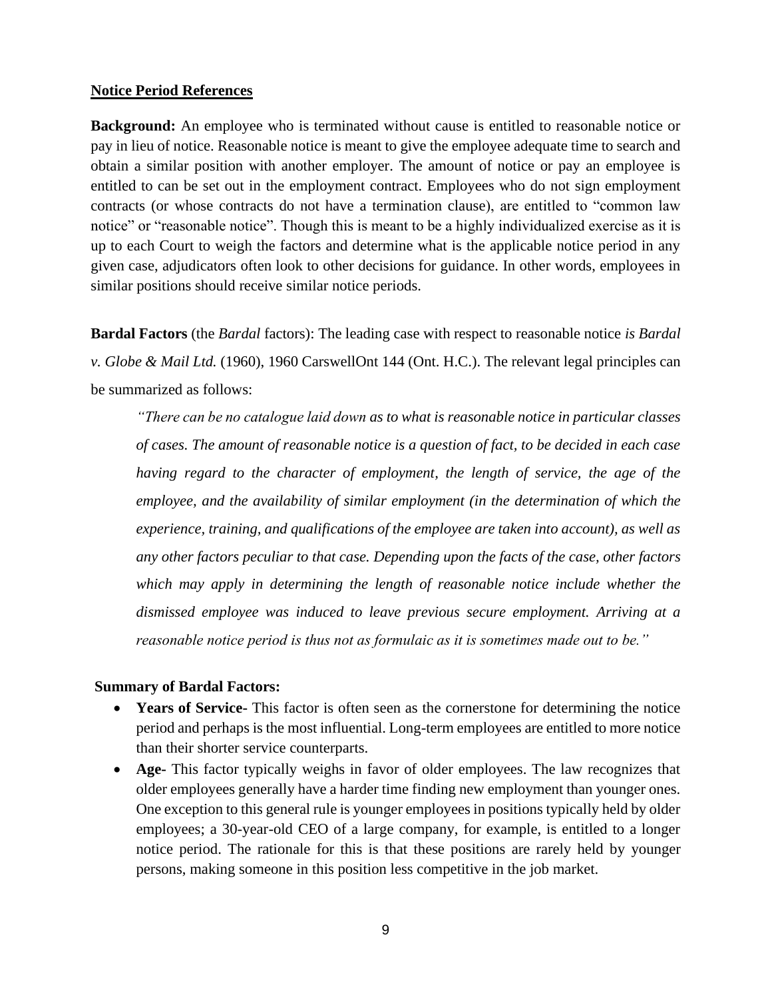### **Notice Period References**

**Background:** An employee who is terminated without cause is entitled to reasonable notice or pay in lieu of notice. Reasonable notice is meant to give the employee adequate time to search and obtain a similar position with another employer. The amount of notice or pay an employee is entitled to can be set out in the employment contract. Employees who do not sign employment contracts (or whose contracts do not have a termination clause), are entitled to "common law notice" or "reasonable notice". Though this is meant to be a highly individualized exercise as it is up to each Court to weigh the factors and determine what is the applicable notice period in any given case, adjudicators often look to other decisions for guidance. In other words, employees in similar positions should receive similar notice periods.

**Bardal Factors** (the *Bardal* factors): The leading case with respect to reasonable notice *is Bardal v. Globe & Mail Ltd.* (1960), 1960 CarswellOnt 144 (Ont. H.C.). The relevant legal principles can be summarized as follows:

*"There can be no catalogue laid down as to what is reasonable notice in particular classes of cases. The amount of reasonable notice is a question of fact, to be decided in each case having regard to the character of employment, the length of service, the age of the employee, and the availability of similar employment (in the determination of which the experience, training, and qualifications of the employee are taken into account), as well as any other factors peculiar to that case. Depending upon the facts of the case, other factors*  which may apply in determining the length of reasonable notice include whether the *dismissed employee was induced to leave previous secure employment. Arriving at a reasonable notice period is thus not as formulaic as it is sometimes made out to be."*

### **Summary of Bardal Factors:**

- **Years of Service-** This factor is often seen as the cornerstone for determining the notice period and perhaps is the most influential. Long-term employees are entitled to more notice than their shorter service counterparts.
- **Age-** This factor typically weighs in favor of older employees. The law recognizes that older employees generally have a harder time finding new employment than younger ones. One exception to this general rule is younger employees in positions typically held by older employees; a 30-year-old CEO of a large company, for example, is entitled to a longer notice period. The rationale for this is that these positions are rarely held by younger persons, making someone in this position less competitive in the job market.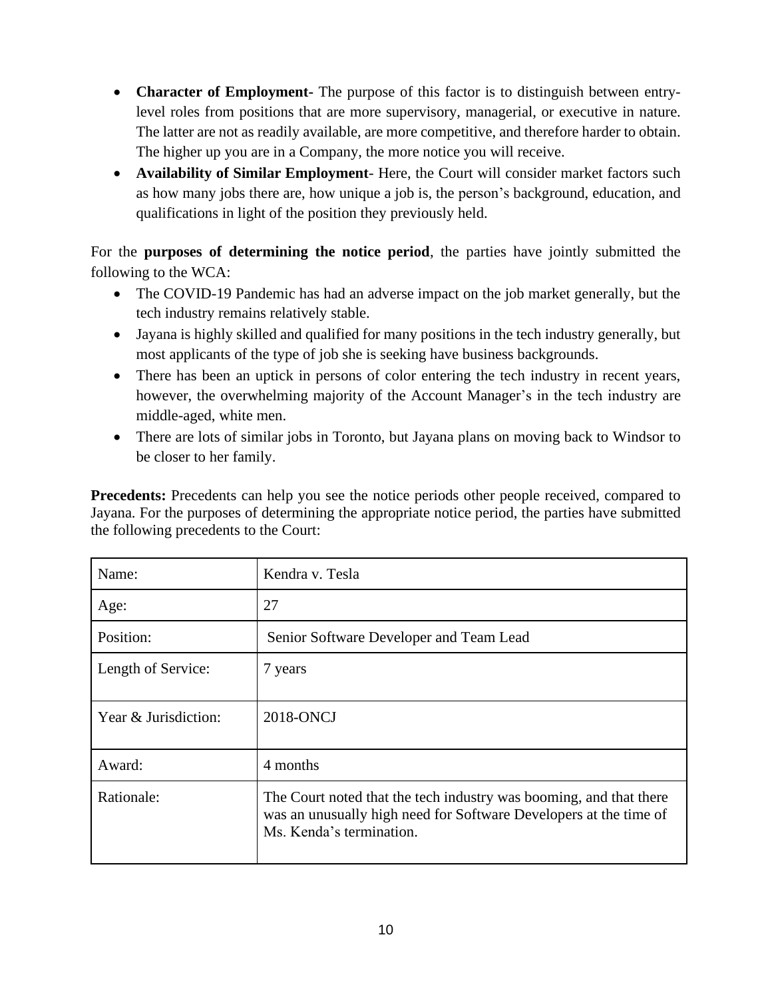- **Character of Employment-** The purpose of this factor is to distinguish between entrylevel roles from positions that are more supervisory, managerial, or executive in nature. The latter are not as readily available, are more competitive, and therefore harder to obtain. The higher up you are in a Company, the more notice you will receive.
- **Availability of Similar Employment** Here, the Court will consider market factors such as how many jobs there are, how unique a job is, the person's background, education, and qualifications in light of the position they previously held.

For the **purposes of determining the notice period**, the parties have jointly submitted the following to the WCA:

- The COVID-19 Pandemic has had an adverse impact on the job market generally, but the tech industry remains relatively stable.
- Jayana is highly skilled and qualified for many positions in the tech industry generally, but most applicants of the type of job she is seeking have business backgrounds.
- There has been an uptick in persons of color entering the tech industry in recent years, however, the overwhelming majority of the Account Manager's in the tech industry are middle-aged, white men.
- There are lots of similar jobs in Toronto, but Jayana plans on moving back to Windsor to be closer to her family.

**Precedents:** Precedents can help you see the notice periods other people received, compared to Jayana. For the purposes of determining the appropriate notice period, the parties have submitted the following precedents to the Court:

| Name:                | Kendra v. Tesla                                                                                                                                                     |
|----------------------|---------------------------------------------------------------------------------------------------------------------------------------------------------------------|
| Age:                 | 27                                                                                                                                                                  |
| Position:            | Senior Software Developer and Team Lead                                                                                                                             |
| Length of Service:   | 7 years                                                                                                                                                             |
| Year & Jurisdiction: | 2018-ONCJ                                                                                                                                                           |
| Award:               | 4 months                                                                                                                                                            |
| Rationale:           | The Court noted that the tech industry was booming, and that there<br>was an unusually high need for Software Developers at the time of<br>Ms. Kenda's termination. |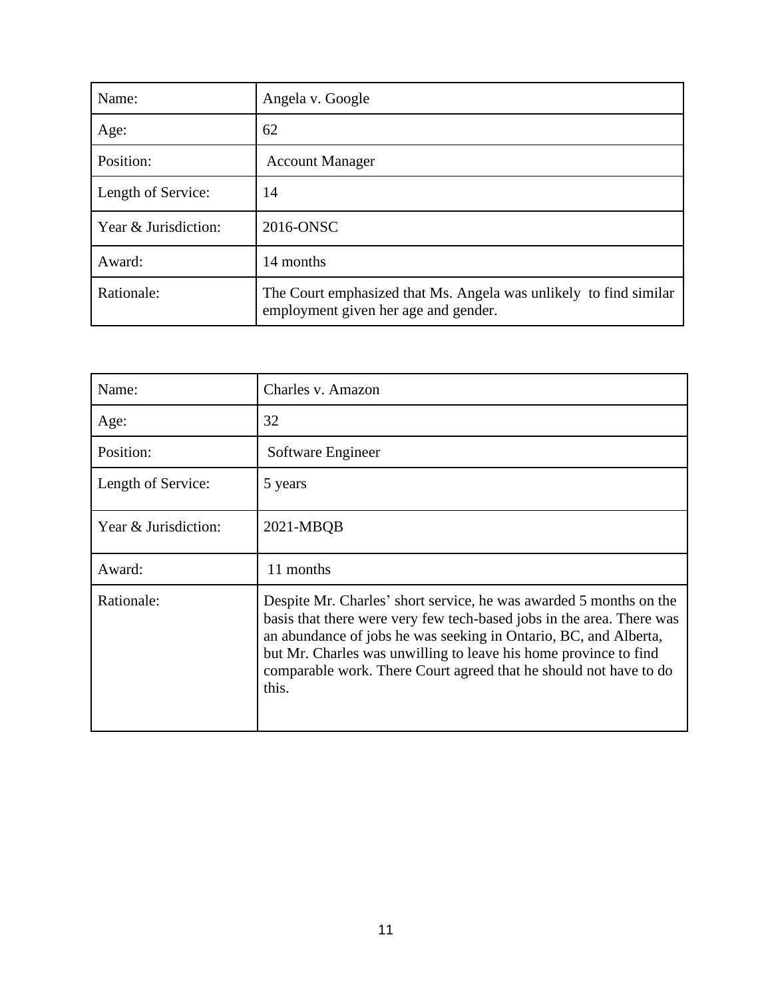| Name:                | Angela v. Google                                                                                          |
|----------------------|-----------------------------------------------------------------------------------------------------------|
| Age:                 | 62                                                                                                        |
| Position:            | <b>Account Manager</b>                                                                                    |
| Length of Service:   | 14                                                                                                        |
| Year & Jurisdiction: | 2016-ONSC                                                                                                 |
| Award:               | 14 months                                                                                                 |
| Rationale:           | The Court emphasized that Ms. Angela was unlikely to find similar<br>employment given her age and gender. |

| Name:                | Charles v. Amazon                                                                                                                                                                                                                                                                                                                                                 |
|----------------------|-------------------------------------------------------------------------------------------------------------------------------------------------------------------------------------------------------------------------------------------------------------------------------------------------------------------------------------------------------------------|
| Age:                 | 32                                                                                                                                                                                                                                                                                                                                                                |
| Position:            | Software Engineer                                                                                                                                                                                                                                                                                                                                                 |
| Length of Service:   | 5 years                                                                                                                                                                                                                                                                                                                                                           |
| Year & Jurisdiction: | 2021-MBQB                                                                                                                                                                                                                                                                                                                                                         |
| Award:               | 11 months                                                                                                                                                                                                                                                                                                                                                         |
| Rationale:           | Despite Mr. Charles' short service, he was awarded 5 months on the<br>basis that there were very few tech-based jobs in the area. There was<br>an abundance of jobs he was seeking in Ontario, BC, and Alberta,<br>but Mr. Charles was unwilling to leave his home province to find<br>comparable work. There Court agreed that he should not have to do<br>this. |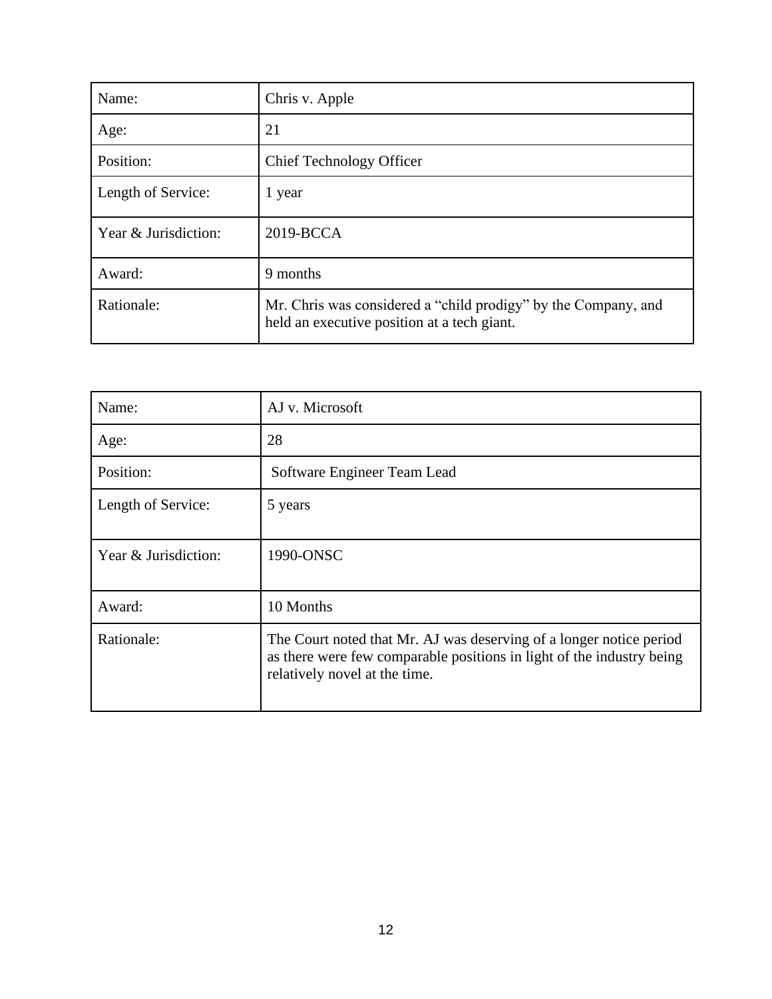| Name:                | Chris v. Apple                                                                                                |
|----------------------|---------------------------------------------------------------------------------------------------------------|
| Age:                 | 21                                                                                                            |
| Position:            | <b>Chief Technology Officer</b>                                                                               |
| Length of Service:   | 1 year                                                                                                        |
| Year & Jurisdiction: | 2019-BCCA                                                                                                     |
| Award:               | 9 months                                                                                                      |
| Rationale:           | Mr. Chris was considered a "child prodigy" by the Company, and<br>held an executive position at a tech giant. |

| Name:                | AJ v. Microsoft                                                                                                                                                               |
|----------------------|-------------------------------------------------------------------------------------------------------------------------------------------------------------------------------|
| Age:                 | 28                                                                                                                                                                            |
| Position:            | Software Engineer Team Lead                                                                                                                                                   |
| Length of Service:   | 5 years                                                                                                                                                                       |
| Year & Jurisdiction: | 1990-ONSC                                                                                                                                                                     |
| Award:               | 10 Months                                                                                                                                                                     |
| Rationale:           | The Court noted that Mr. AJ was deserving of a longer notice period<br>as there were few comparable positions in light of the industry being<br>relatively novel at the time. |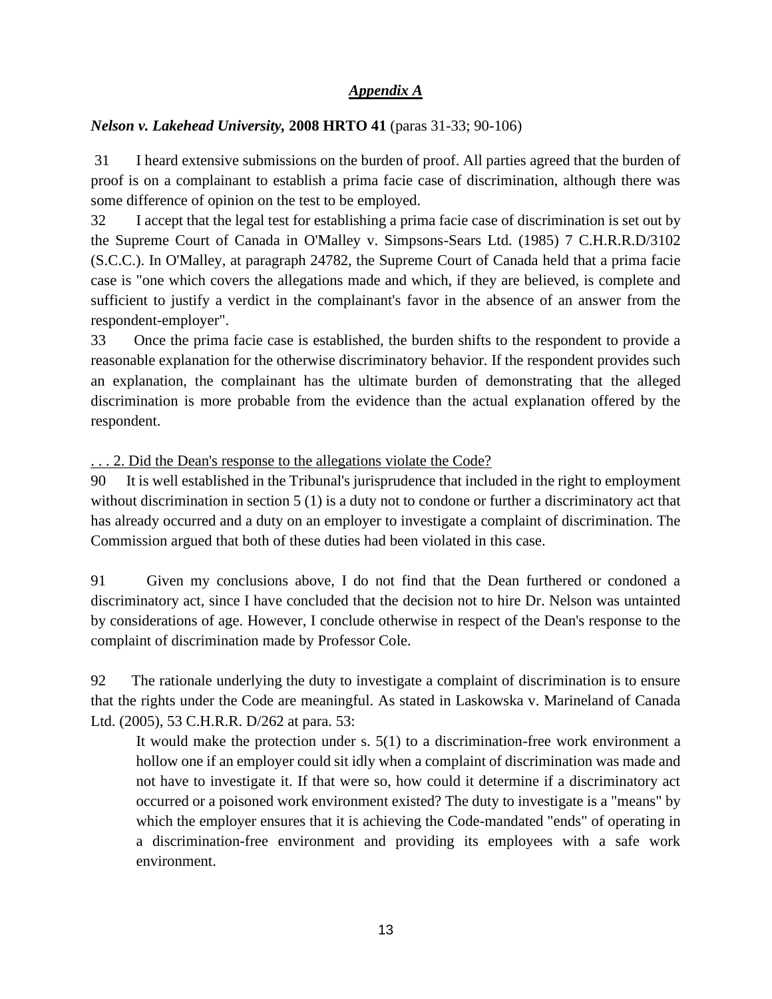# *Appendix A*

# *Nelson v. Lakehead University,* **2008 HRTO 41** (paras 31-33; 90-106)

31 I heard extensive submissions on the burden of proof. All parties agreed that the burden of proof is on a complainant to establish a prima facie case of discrimination, although there was some difference of opinion on the test to be employed.

32 I accept that the legal test for establishing a prima facie case of discrimination is set out by the Supreme Court of Canada in O'Malley v. Simpsons-Sears Ltd. (1985) 7 C.H.R.R.D/3102 (S.C.C.). In O'Malley, at paragraph 24782, the Supreme Court of Canada held that a prima facie case is "one which covers the allegations made and which, if they are believed, is complete and sufficient to justify a verdict in the complainant's favor in the absence of an answer from the respondent-employer".

33 Once the prima facie case is established, the burden shifts to the respondent to provide a reasonable explanation for the otherwise discriminatory behavior. If the respondent provides such an explanation, the complainant has the ultimate burden of demonstrating that the alleged discrimination is more probable from the evidence than the actual explanation offered by the respondent.

. . . 2. Did the Dean's response to the allegations violate the Code?

90 It is well established in the Tribunal's jurisprudence that included in the right to employment without discrimination in section 5 (1) is a duty not to condone or further a discriminatory act that has already occurred and a duty on an employer to investigate a complaint of discrimination. The Commission argued that both of these duties had been violated in this case.

91 Given my conclusions above, I do not find that the Dean furthered or condoned a discriminatory act, since I have concluded that the decision not to hire Dr. Nelson was untainted by considerations of age. However, I conclude otherwise in respect of the Dean's response to the complaint of discrimination made by Professor Cole.

92 The rationale underlying the duty to investigate a complaint of discrimination is to ensure that the rights under the Code are meaningful. As stated in Laskowska v. Marineland of Canada Ltd. (2005), 53 C.H.R.R. D/262 at para. 53:

It would make the protection under s. 5(1) to a discrimination-free work environment a hollow one if an employer could sit idly when a complaint of discrimination was made and not have to investigate it. If that were so, how could it determine if a discriminatory act occurred or a poisoned work environment existed? The duty to investigate is a "means" by which the employer ensures that it is achieving the Code-mandated "ends" of operating in a discrimination-free environment and providing its employees with a safe work environment.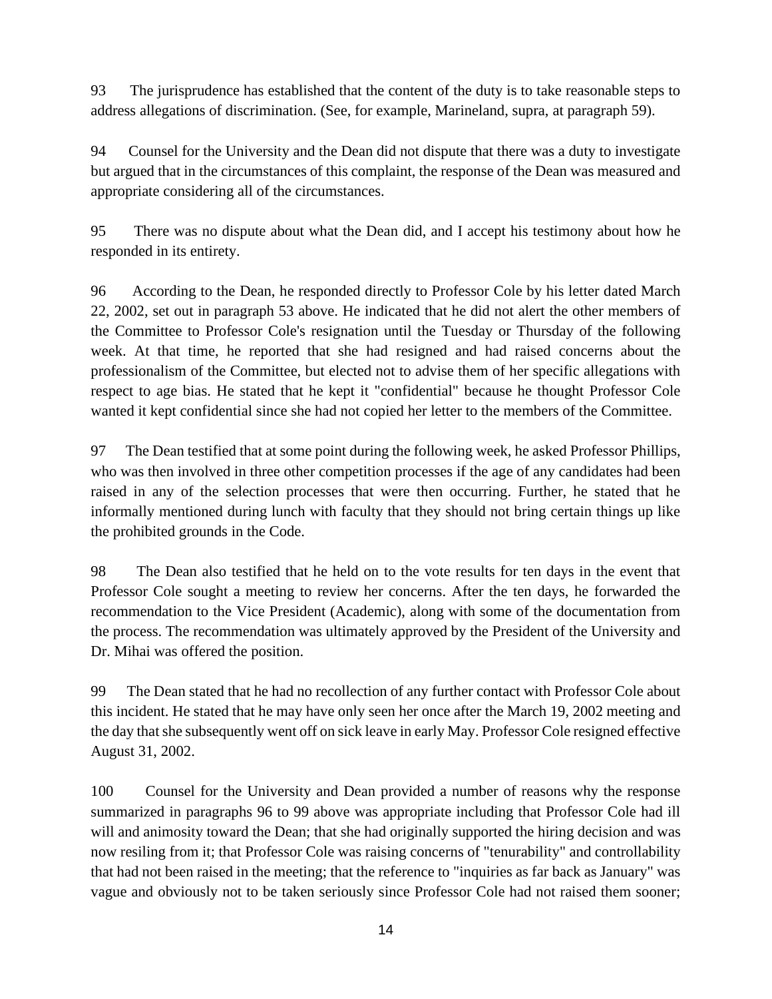93 The jurisprudence has established that the content of the duty is to take reasonable steps to address allegations of discrimination. (See, for example, Marineland, supra, at paragraph 59).

94 Counsel for the University and the Dean did not dispute that there was a duty to investigate but argued that in the circumstances of this complaint, the response of the Dean was measured and appropriate considering all of the circumstances.

95 There was no dispute about what the Dean did, and I accept his testimony about how he responded in its entirety.

96 According to the Dean, he responded directly to Professor Cole by his letter dated March 22, 2002, set out in paragraph 53 above. He indicated that he did not alert the other members of the Committee to Professor Cole's resignation until the Tuesday or Thursday of the following week. At that time, he reported that she had resigned and had raised concerns about the professionalism of the Committee, but elected not to advise them of her specific allegations with respect to age bias. He stated that he kept it "confidential" because he thought Professor Cole wanted it kept confidential since she had not copied her letter to the members of the Committee.

97 The Dean testified that at some point during the following week, he asked Professor Phillips, who was then involved in three other competition processes if the age of any candidates had been raised in any of the selection processes that were then occurring. Further, he stated that he informally mentioned during lunch with faculty that they should not bring certain things up like the prohibited grounds in the Code.

98 The Dean also testified that he held on to the vote results for ten days in the event that Professor Cole sought a meeting to review her concerns. After the ten days, he forwarded the recommendation to the Vice President (Academic), along with some of the documentation from the process. The recommendation was ultimately approved by the President of the University and Dr. Mihai was offered the position.

99 The Dean stated that he had no recollection of any further contact with Professor Cole about this incident. He stated that he may have only seen her once after the March 19, 2002 meeting and the day that she subsequently went off on sick leave in early May. Professor Cole resigned effective August 31, 2002.

100 Counsel for the University and Dean provided a number of reasons why the response summarized in paragraphs 96 to 99 above was appropriate including that Professor Cole had ill will and animosity toward the Dean; that she had originally supported the hiring decision and was now resiling from it; that Professor Cole was raising concerns of "tenurability" and controllability that had not been raised in the meeting; that the reference to "inquiries as far back as January" was vague and obviously not to be taken seriously since Professor Cole had not raised them sooner;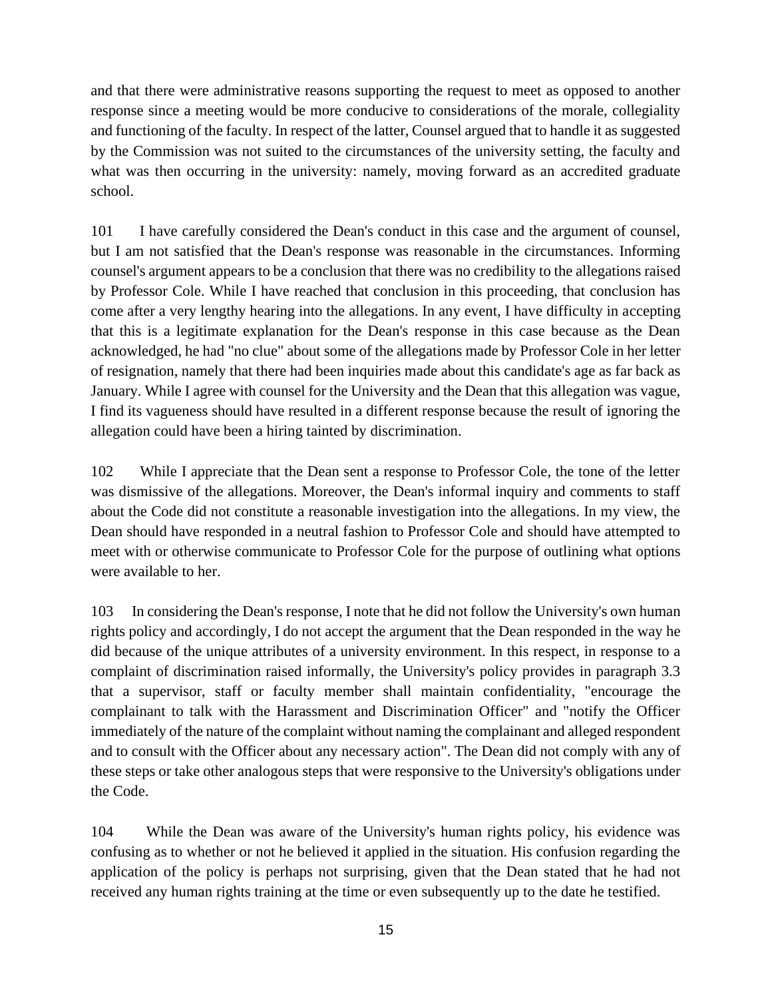and that there were administrative reasons supporting the request to meet as opposed to another response since a meeting would be more conducive to considerations of the morale, collegiality and functioning of the faculty. In respect of the latter, Counsel argued that to handle it as suggested by the Commission was not suited to the circumstances of the university setting, the faculty and what was then occurring in the university: namely, moving forward as an accredited graduate school.

101 I have carefully considered the Dean's conduct in this case and the argument of counsel, but I am not satisfied that the Dean's response was reasonable in the circumstances. Informing counsel's argument appears to be a conclusion that there was no credibility to the allegations raised by Professor Cole. While I have reached that conclusion in this proceeding, that conclusion has come after a very lengthy hearing into the allegations. In any event, I have difficulty in accepting that this is a legitimate explanation for the Dean's response in this case because as the Dean acknowledged, he had "no clue" about some of the allegations made by Professor Cole in her letter of resignation, namely that there had been inquiries made about this candidate's age as far back as January. While I agree with counsel for the University and the Dean that this allegation was vague, I find its vagueness should have resulted in a different response because the result of ignoring the allegation could have been a hiring tainted by discrimination.

102 While I appreciate that the Dean sent a response to Professor Cole, the tone of the letter was dismissive of the allegations. Moreover, the Dean's informal inquiry and comments to staff about the Code did not constitute a reasonable investigation into the allegations. In my view, the Dean should have responded in a neutral fashion to Professor Cole and should have attempted to meet with or otherwise communicate to Professor Cole for the purpose of outlining what options were available to her.

103 In considering the Dean's response, I note that he did not follow the University's own human rights policy and accordingly, I do not accept the argument that the Dean responded in the way he did because of the unique attributes of a university environment. In this respect, in response to a complaint of discrimination raised informally, the University's policy provides in paragraph 3.3 that a supervisor, staff or faculty member shall maintain confidentiality, "encourage the complainant to talk with the Harassment and Discrimination Officer" and "notify the Officer immediately of the nature of the complaint without naming the complainant and alleged respondent and to consult with the Officer about any necessary action". The Dean did not comply with any of these steps or take other analogous steps that were responsive to the University's obligations under the Code.

104 While the Dean was aware of the University's human rights policy, his evidence was confusing as to whether or not he believed it applied in the situation. His confusion regarding the application of the policy is perhaps not surprising, given that the Dean stated that he had not received any human rights training at the time or even subsequently up to the date he testified.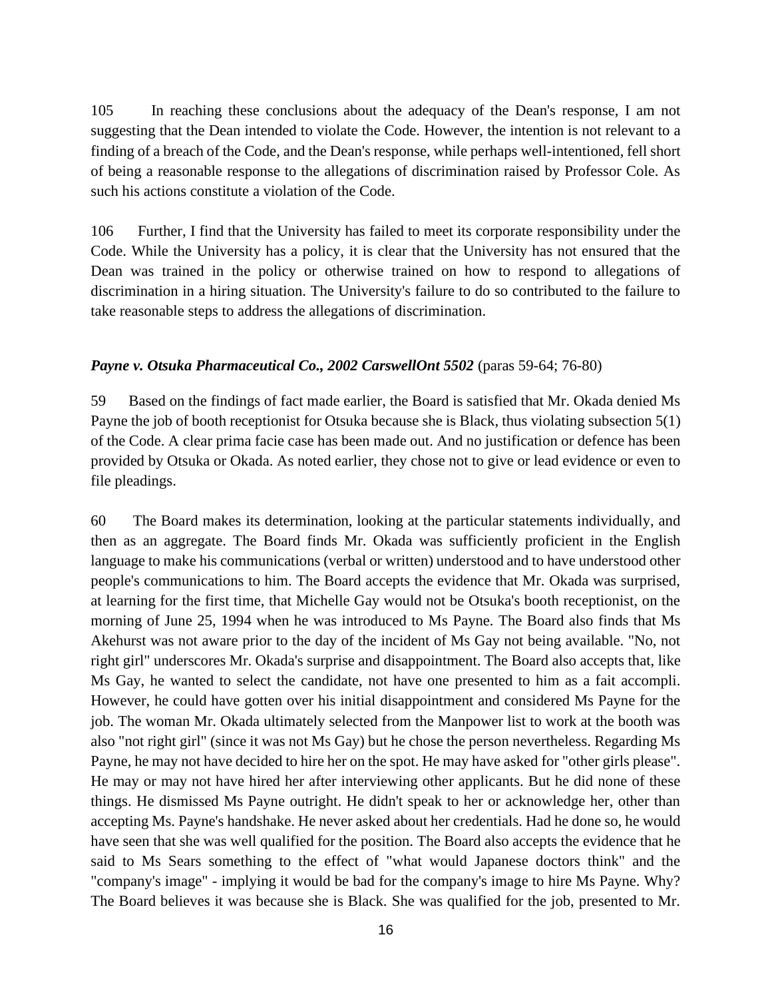105 In reaching these conclusions about the adequacy of the Dean's response, I am not suggesting that the Dean intended to violate the Code. However, the intention is not relevant to a finding of a breach of the Code, and the Dean's response, while perhaps well-intentioned, fell short of being a reasonable response to the allegations of discrimination raised by Professor Cole. As such his actions constitute a violation of the Code.

106 Further, I find that the University has failed to meet its corporate responsibility under the Code. While the University has a policy, it is clear that the University has not ensured that the Dean was trained in the policy or otherwise trained on how to respond to allegations of discrimination in a hiring situation. The University's failure to do so contributed to the failure to take reasonable steps to address the allegations of discrimination.

## *Payne v. Otsuka Pharmaceutical Co., 2002 CarswellOnt 5502* (paras 59-64; 76-80)

59 Based on the findings of fact made earlier, the Board is satisfied that Mr. Okada denied Ms Payne the job of booth receptionist for Otsuka because she is Black, thus violating subsection 5(1) of the Code. A clear prima facie case has been made out. And no justification or defence has been provided by Otsuka or Okada. As noted earlier, they chose not to give or lead evidence or even to file pleadings.

60 The Board makes its determination, looking at the particular statements individually, and then as an aggregate. The Board finds Mr. Okada was sufficiently proficient in the English language to make his communications (verbal or written) understood and to have understood other people's communications to him. The Board accepts the evidence that Mr. Okada was surprised, at learning for the first time, that Michelle Gay would not be Otsuka's booth receptionist, on the morning of June 25, 1994 when he was introduced to Ms Payne. The Board also finds that Ms Akehurst was not aware prior to the day of the incident of Ms Gay not being available. "No, not right girl" underscores Mr. Okada's surprise and disappointment. The Board also accepts that, like Ms Gay, he wanted to select the candidate, not have one presented to him as a fait accompli. However, he could have gotten over his initial disappointment and considered Ms Payne for the job. The woman Mr. Okada ultimately selected from the Manpower list to work at the booth was also "not right girl" (since it was not Ms Gay) but he chose the person nevertheless. Regarding Ms Payne, he may not have decided to hire her on the spot. He may have asked for "other girls please". He may or may not have hired her after interviewing other applicants. But he did none of these things. He dismissed Ms Payne outright. He didn't speak to her or acknowledge her, other than accepting Ms. Payne's handshake. He never asked about her credentials. Had he done so, he would have seen that she was well qualified for the position. The Board also accepts the evidence that he said to Ms Sears something to the effect of "what would Japanese doctors think" and the "company's image" - implying it would be bad for the company's image to hire Ms Payne. Why? The Board believes it was because she is Black. She was qualified for the job, presented to Mr.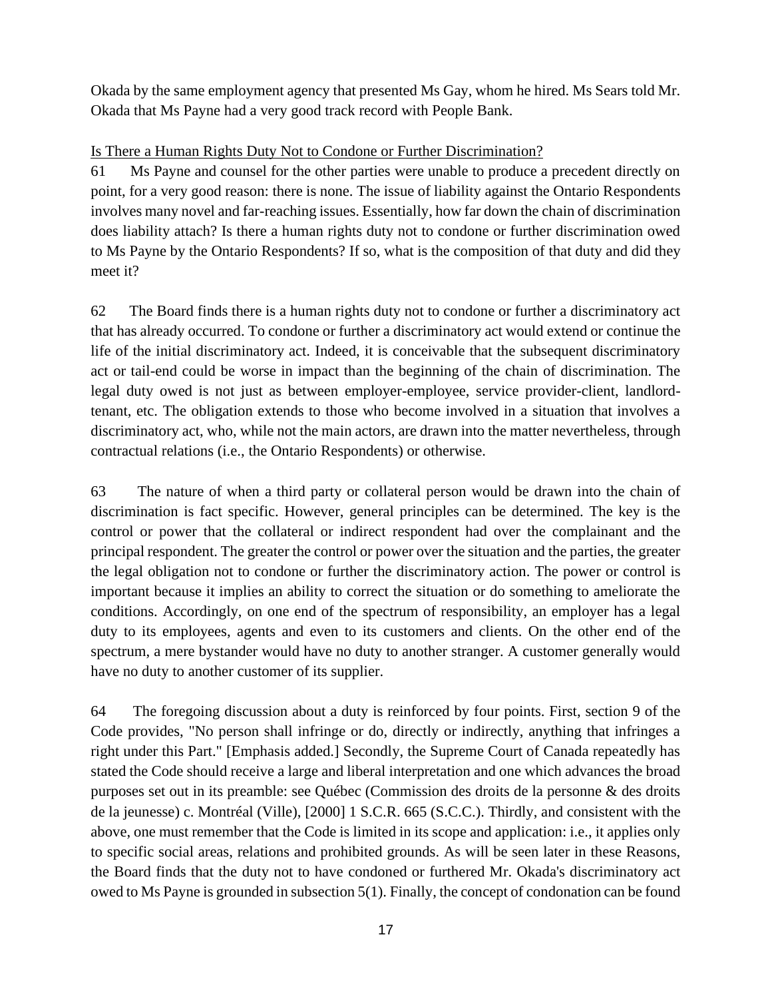Okada by the same employment agency that presented Ms Gay, whom he hired. Ms Sears told Mr. Okada that Ms Payne had a very good track record with People Bank.

# Is There a Human Rights Duty Not to Condone or Further Discrimination?

61 Ms Payne and counsel for the other parties were unable to produce a precedent directly on point, for a very good reason: there is none. The issue of liability against the Ontario Respondents involves many novel and far-reaching issues. Essentially, how far down the chain of discrimination does liability attach? Is there a human rights duty not to condone or further discrimination owed to Ms Payne by the Ontario Respondents? If so, what is the composition of that duty and did they meet it?

62 The Board finds there is a human rights duty not to condone or further a discriminatory act that has already occurred. To condone or further a discriminatory act would extend or continue the life of the initial discriminatory act. Indeed, it is conceivable that the subsequent discriminatory act or tail-end could be worse in impact than the beginning of the chain of discrimination. The legal duty owed is not just as between employer-employee, service provider-client, landlordtenant, etc. The obligation extends to those who become involved in a situation that involves a discriminatory act, who, while not the main actors, are drawn into the matter nevertheless, through contractual relations (i.e., the Ontario Respondents) or otherwise.

63 The nature of when a third party or collateral person would be drawn into the chain of discrimination is fact specific. However, general principles can be determined. The key is the control or power that the collateral or indirect respondent had over the complainant and the principal respondent. The greater the control or power over the situation and the parties, the greater the legal obligation not to condone or further the discriminatory action. The power or control is important because it implies an ability to correct the situation or do something to ameliorate the conditions. Accordingly, on one end of the spectrum of responsibility, an employer has a legal duty to its employees, agents and even to its customers and clients. On the other end of the spectrum, a mere bystander would have no duty to another stranger. A customer generally would have no duty to another customer of its supplier.

64 The foregoing discussion about a duty is reinforced by four points. First, section 9 of the Code provides, "No person shall infringe or do, directly or indirectly, anything that infringes a right under this Part." [Emphasis added.] Secondly, the Supreme Court of Canada repeatedly has stated the Code should receive a large and liberal interpretation and one which advances the broad purposes set out in its preamble: see Québec (Commission des droits de la personne & des droits de la jeunesse) c. Montréal (Ville), [2000] 1 S.C.R. 665 (S.C.C.). Thirdly, and consistent with the above, one must remember that the Code is limited in its scope and application: i.e., it applies only to specific social areas, relations and prohibited grounds. As will be seen later in these Reasons, the Board finds that the duty not to have condoned or furthered Mr. Okada's discriminatory act owed to Ms Payne is grounded in subsection 5(1). Finally, the concept of condonation can be found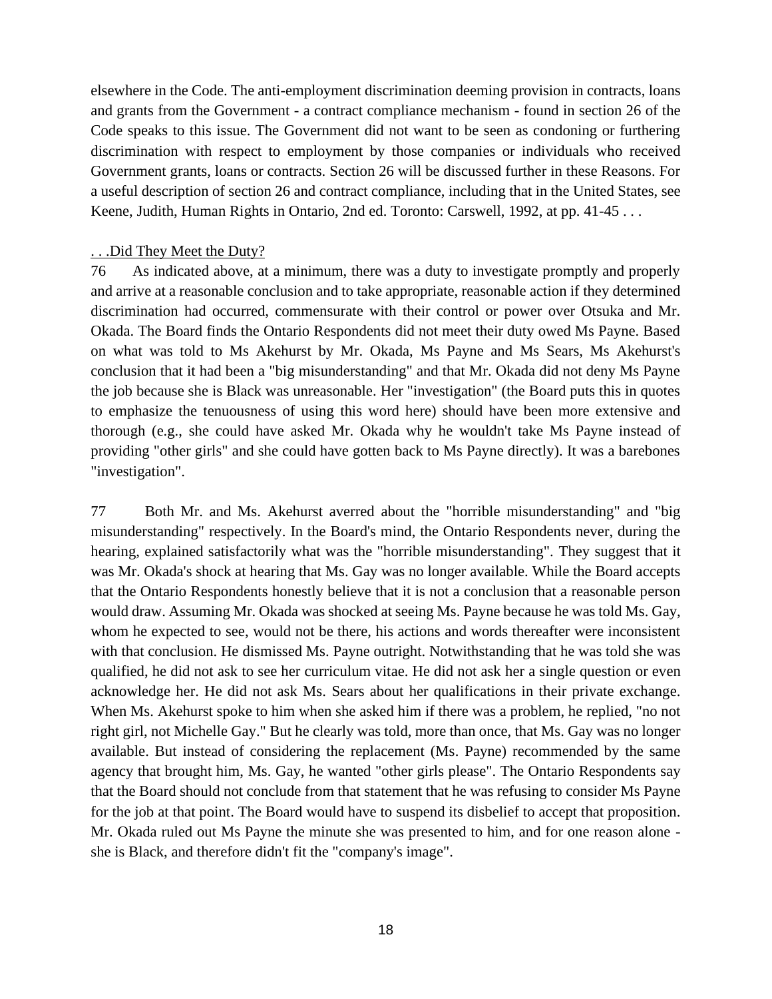elsewhere in the Code. The anti-employment discrimination deeming provision in contracts, loans and grants from the Government - a contract compliance mechanism - found in section 26 of the Code speaks to this issue. The Government did not want to be seen as condoning or furthering discrimination with respect to employment by those companies or individuals who received Government grants, loans or contracts. Section 26 will be discussed further in these Reasons. For a useful description of section 26 and contract compliance, including that in the United States, see Keene, Judith, Human Rights in Ontario, 2nd ed. Toronto: Carswell, 1992, at pp. 41-45 . . .

## . . .Did They Meet the Duty?

76 As indicated above, at a minimum, there was a duty to investigate promptly and properly and arrive at a reasonable conclusion and to take appropriate, reasonable action if they determined discrimination had occurred, commensurate with their control or power over Otsuka and Mr. Okada. The Board finds the Ontario Respondents did not meet their duty owed Ms Payne. Based on what was told to Ms Akehurst by Mr. Okada, Ms Payne and Ms Sears, Ms Akehurst's conclusion that it had been a "big misunderstanding" and that Mr. Okada did not deny Ms Payne the job because she is Black was unreasonable. Her "investigation" (the Board puts this in quotes to emphasize the tenuousness of using this word here) should have been more extensive and thorough (e.g., she could have asked Mr. Okada why he wouldn't take Ms Payne instead of providing "other girls" and she could have gotten back to Ms Payne directly). It was a barebones "investigation".

77 Both Mr. and Ms. Akehurst averred about the "horrible misunderstanding" and "big misunderstanding" respectively. In the Board's mind, the Ontario Respondents never, during the hearing, explained satisfactorily what was the "horrible misunderstanding". They suggest that it was Mr. Okada's shock at hearing that Ms. Gay was no longer available. While the Board accepts that the Ontario Respondents honestly believe that it is not a conclusion that a reasonable person would draw. Assuming Mr. Okada was shocked at seeing Ms. Payne because he was told Ms. Gay, whom he expected to see, would not be there, his actions and words thereafter were inconsistent with that conclusion. He dismissed Ms. Payne outright. Notwithstanding that he was told she was qualified, he did not ask to see her curriculum vitae. He did not ask her a single question or even acknowledge her. He did not ask Ms. Sears about her qualifications in their private exchange. When Ms. Akehurst spoke to him when she asked him if there was a problem, he replied, "no not right girl, not Michelle Gay." But he clearly was told, more than once, that Ms. Gay was no longer available. But instead of considering the replacement (Ms. Payne) recommended by the same agency that brought him, Ms. Gay, he wanted "other girls please". The Ontario Respondents say that the Board should not conclude from that statement that he was refusing to consider Ms Payne for the job at that point. The Board would have to suspend its disbelief to accept that proposition. Mr. Okada ruled out Ms Payne the minute she was presented to him, and for one reason alone she is Black, and therefore didn't fit the "company's image".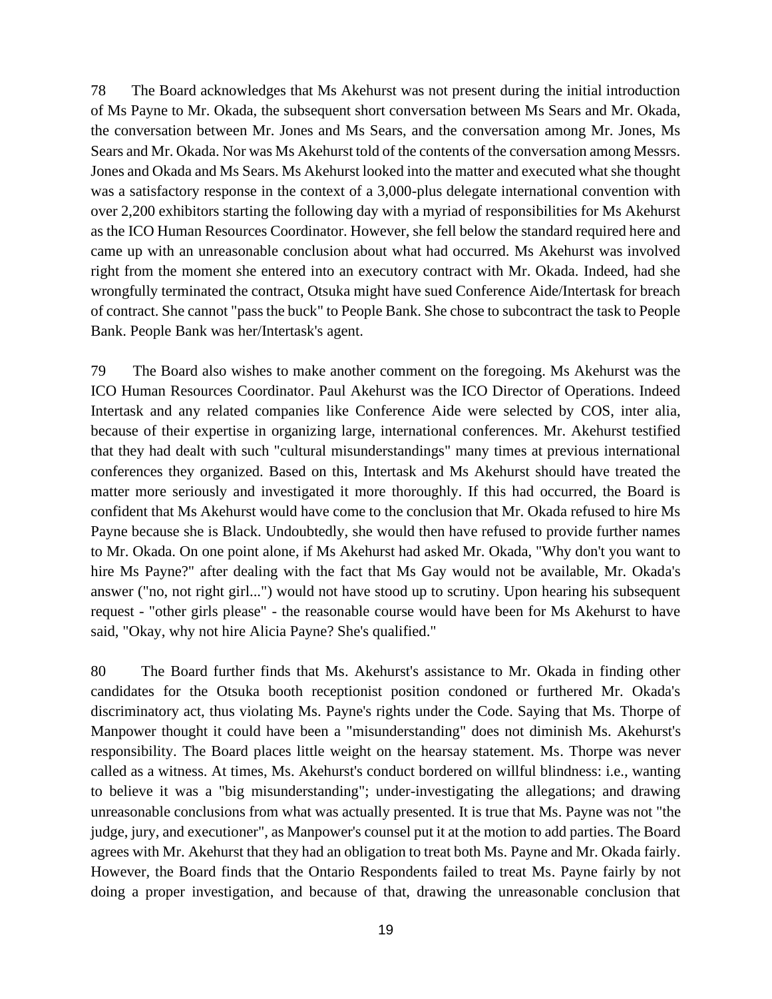78 The Board acknowledges that Ms Akehurst was not present during the initial introduction of Ms Payne to Mr. Okada, the subsequent short conversation between Ms Sears and Mr. Okada, the conversation between Mr. Jones and Ms Sears, and the conversation among Mr. Jones, Ms Sears and Mr. Okada. Nor was Ms Akehurst told of the contents of the conversation among Messrs. Jones and Okada and Ms Sears. Ms Akehurst looked into the matter and executed what she thought was a satisfactory response in the context of a 3,000-plus delegate international convention with over 2,200 exhibitors starting the following day with a myriad of responsibilities for Ms Akehurst as the ICO Human Resources Coordinator. However, she fell below the standard required here and came up with an unreasonable conclusion about what had occurred. Ms Akehurst was involved right from the moment she entered into an executory contract with Mr. Okada. Indeed, had she wrongfully terminated the contract, Otsuka might have sued Conference Aide/Intertask for breach of contract. She cannot "pass the buck" to People Bank. She chose to subcontract the task to People Bank. People Bank was her/Intertask's agent.

79 The Board also wishes to make another comment on the foregoing. Ms Akehurst was the ICO Human Resources Coordinator. Paul Akehurst was the ICO Director of Operations. Indeed Intertask and any related companies like Conference Aide were selected by COS, inter alia, because of their expertise in organizing large, international conferences. Mr. Akehurst testified that they had dealt with such "cultural misunderstandings" many times at previous international conferences they organized. Based on this, Intertask and Ms Akehurst should have treated the matter more seriously and investigated it more thoroughly. If this had occurred, the Board is confident that Ms Akehurst would have come to the conclusion that Mr. Okada refused to hire Ms Payne because she is Black. Undoubtedly, she would then have refused to provide further names to Mr. Okada. On one point alone, if Ms Akehurst had asked Mr. Okada, "Why don't you want to hire Ms Payne?" after dealing with the fact that Ms Gay would not be available, Mr. Okada's answer ("no, not right girl...") would not have stood up to scrutiny. Upon hearing his subsequent request - "other girls please" - the reasonable course would have been for Ms Akehurst to have said, "Okay, why not hire Alicia Payne? She's qualified."

80 The Board further finds that Ms. Akehurst's assistance to Mr. Okada in finding other candidates for the Otsuka booth receptionist position condoned or furthered Mr. Okada's discriminatory act, thus violating Ms. Payne's rights under the Code. Saying that Ms. Thorpe of Manpower thought it could have been a "misunderstanding" does not diminish Ms. Akehurst's responsibility. The Board places little weight on the hearsay statement. Ms. Thorpe was never called as a witness. At times, Ms. Akehurst's conduct bordered on willful blindness: i.e., wanting to believe it was a "big misunderstanding"; under-investigating the allegations; and drawing unreasonable conclusions from what was actually presented. It is true that Ms. Payne was not "the judge, jury, and executioner", as Manpower's counsel put it at the motion to add parties. The Board agrees with Mr. Akehurst that they had an obligation to treat both Ms. Payne and Mr. Okada fairly. However, the Board finds that the Ontario Respondents failed to treat Ms. Payne fairly by not doing a proper investigation, and because of that, drawing the unreasonable conclusion that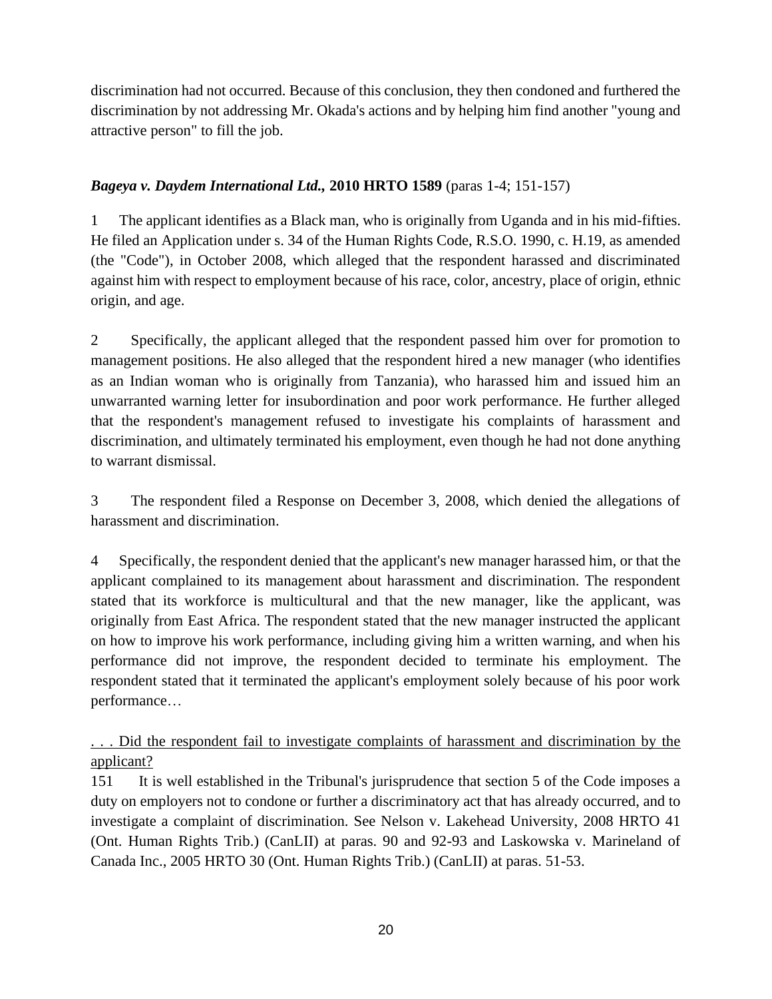discrimination had not occurred. Because of this conclusion, they then condoned and furthered the discrimination by not addressing Mr. Okada's actions and by helping him find another "young and attractive person" to fill the job.

# *Bageya v. Daydem International Ltd.,* **2010 HRTO 1589** (paras 1-4; 151-157)

1 The applicant identifies as a Black man, who is originally from Uganda and in his mid-fifties. He filed an Application under s. 34 of the Human Rights Code, R.S.O. 1990, c. H.19, as amended (the "Code"), in October 2008, which alleged that the respondent harassed and discriminated against him with respect to employment because of his race, color, ancestry, place of origin, ethnic origin, and age.

2 Specifically, the applicant alleged that the respondent passed him over for promotion to management positions. He also alleged that the respondent hired a new manager (who identifies as an Indian woman who is originally from Tanzania), who harassed him and issued him an unwarranted warning letter for insubordination and poor work performance. He further alleged that the respondent's management refused to investigate his complaints of harassment and discrimination, and ultimately terminated his employment, even though he had not done anything to warrant dismissal.

3 The respondent filed a Response on December 3, 2008, which denied the allegations of harassment and discrimination.

4 Specifically, the respondent denied that the applicant's new manager harassed him, or that the applicant complained to its management about harassment and discrimination. The respondent stated that its workforce is multicultural and that the new manager, like the applicant, was originally from East Africa. The respondent stated that the new manager instructed the applicant on how to improve his work performance, including giving him a written warning, and when his performance did not improve, the respondent decided to terminate his employment. The respondent stated that it terminated the applicant's employment solely because of his poor work performance…

... Did the respondent fail to investigate complaints of harassment and discrimination by the applicant?

151 It is well established in the Tribunal's jurisprudence that section 5 of the Code imposes a duty on employers not to condone or further a discriminatory act that has already occurred, and to investigate a complaint of discrimination. See Nelson v. Lakehead University, 2008 HRTO 41 (Ont. Human Rights Trib.) (CanLII) at paras. 90 and 92-93 and Laskowska v. Marineland of Canada Inc., 2005 HRTO 30 (Ont. Human Rights Trib.) (CanLII) at paras. 51-53.